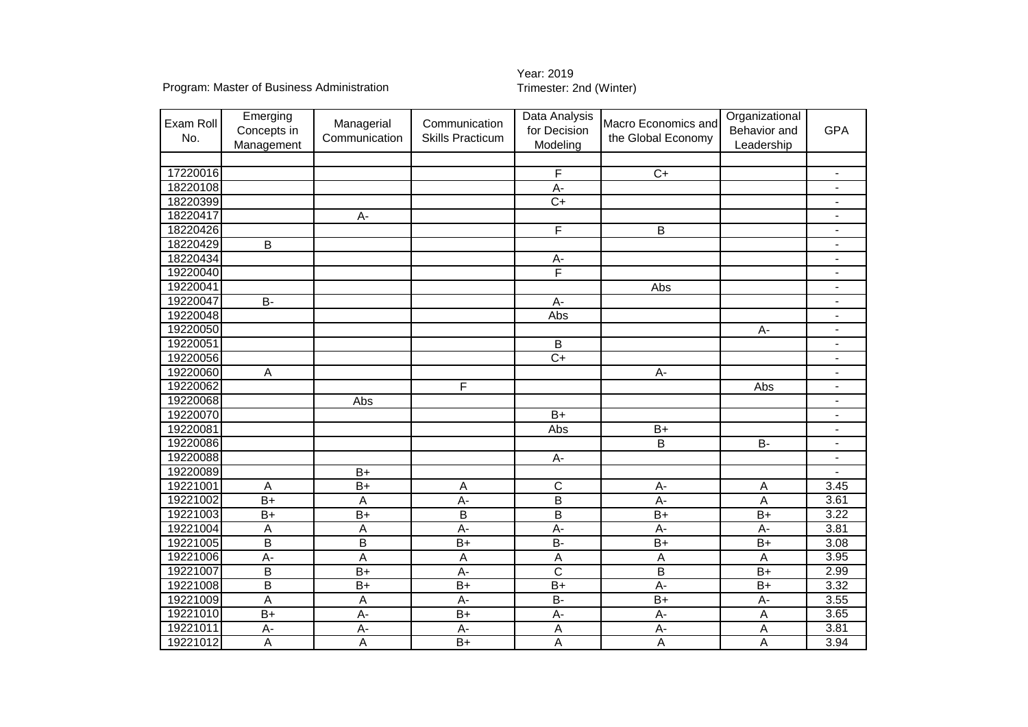Program: Master of Business Administration

## Year: 2019<br>Trimester: 2nd (Winter)

| Exam Roll<br>No. | Emerging<br>Concepts in<br>Management | Managerial<br>Communication | Communication<br><b>Skills Practicum</b> | Data Analysis<br>for Decision<br>Modeling | Macro Economics and<br>the Global Economy | Organizational<br>Behavior and<br>Leadership | <b>GPA</b>                   |
|------------------|---------------------------------------|-----------------------------|------------------------------------------|-------------------------------------------|-------------------------------------------|----------------------------------------------|------------------------------|
|                  |                                       |                             |                                          |                                           |                                           |                                              |                              |
| 17220016         |                                       |                             |                                          | F                                         | $\overline{C+}$                           |                                              | $\overline{a}$               |
| 18220108         |                                       |                             |                                          | A-                                        |                                           |                                              | $\overline{a}$               |
| 18220399         |                                       |                             |                                          | $\overline{C+}$                           |                                           |                                              | $\overline{\phantom{0}}$     |
| 18220417         |                                       | А-                          |                                          |                                           |                                           |                                              | $\blacksquare$               |
| 18220426         |                                       |                             |                                          | $\overline{\mathsf{F}}$                   | $\overline{B}$                            |                                              | $\blacksquare$               |
| 18220429         | $\overline{B}$                        |                             |                                          |                                           |                                           |                                              | $\overline{\phantom{a}}$     |
| 18220434         |                                       |                             |                                          | А-                                        |                                           |                                              | $\overline{\phantom{0}}$     |
| 19220040         |                                       |                             |                                          | F                                         |                                           |                                              | $\frac{1}{2}$                |
| 19220041         |                                       |                             |                                          |                                           | Abs                                       |                                              | $\overline{a}$               |
| 19220047         | B-                                    |                             |                                          | A-                                        |                                           |                                              | $\frac{1}{2}$                |
| 19220048         |                                       |                             |                                          | Abs                                       |                                           |                                              | $\overline{\phantom{a}}$     |
| 19220050         |                                       |                             |                                          |                                           |                                           | $A -$                                        | $\blacksquare$               |
| 19220051         |                                       |                             |                                          | B                                         |                                           |                                              | $\overline{\phantom{a}}$     |
| 19220056         |                                       |                             |                                          | $C+$                                      |                                           |                                              | $\blacksquare$               |
| 19220060         | A                                     |                             |                                          |                                           | $A -$                                     |                                              | $\qquad \qquad \blacksquare$ |
| 19220062         |                                       |                             | F                                        |                                           |                                           | Abs                                          | $\qquad \qquad \blacksquare$ |
| 19220068         |                                       | Abs                         |                                          |                                           |                                           |                                              | $\frac{1}{2}$                |
| 19220070         |                                       |                             |                                          | $B+$                                      |                                           |                                              | $\overline{\phantom{a}}$     |
| 19220081         |                                       |                             |                                          | Abs                                       | $B+$                                      |                                              | $\blacksquare$               |
| 19220086         |                                       |                             |                                          |                                           | $\mathsf B$                               | <b>B-</b>                                    | $\overline{\phantom{a}}$     |
| 19220088         |                                       |                             |                                          | A-                                        |                                           |                                              | $\overline{\phantom{0}}$     |
| 19220089         |                                       | $B+$                        |                                          |                                           |                                           |                                              |                              |
| 19221001         | A                                     | $B+$                        | А                                        | $\mathsf C$                               | $A -$                                     | A                                            | 3.45                         |
| 19221002         | $B+$                                  | A                           | $A -$                                    | $\overline{B}$                            | $A -$                                     | A                                            | 3.61                         |
| 19221003         | $B+$                                  | $\overline{B+}$             | B                                        | $\overline{B}$                            | $B+$                                      | $B+$                                         | 3.22                         |
| 19221004         | A                                     | A                           | $\overline{A}$ -                         | $\overline{A}$ -                          | A-                                        | $\overline{A}$                               | 3.81                         |
| 19221005         | $\overline{B}$                        | $\overline{B}$              | $\overline{B+}$                          | $\overline{B}$                            | $\overline{B+}$                           | $\overline{B+}$                              | 3.08                         |
| 19221006         | $\overline{A}$                        | $\overline{A}$              | А                                        | $\mathsf A$                               | A                                         | A                                            | 3.95                         |
| 19221007         | $\overline{B}$                        | $\overline{B+}$             | $A -$                                    | $\overline{\text{c}}$                     | $\overline{B}$                            | $\overline{B+}$                              | 2.99                         |
| 19221008         | $\overline{B}$                        | $B+$                        | $\overline{B+}$                          | $\overline{B+}$                           | $A -$                                     | $B+$                                         | 3.32                         |
| 19221009         | $\overline{A}$                        | $\overline{A}$              | $A -$                                    | $\overline{B}$                            | $\overline{B+}$                           | A-                                           | 3.55                         |
| 19221010         | $\overline{B+}$                       | $\overline{A}$              | $\overline{B+}$                          | А-                                        | $A -$                                     | A                                            | 3.65                         |
| 19221011         | A-                                    | $\overline{A}$              | $A -$                                    | A                                         | $\overline{A}$                            | A                                            | 3.81                         |
| 19221012         | A                                     | $\overline{A}$              | $B+$                                     | А                                         | A                                         | A                                            | 3.94                         |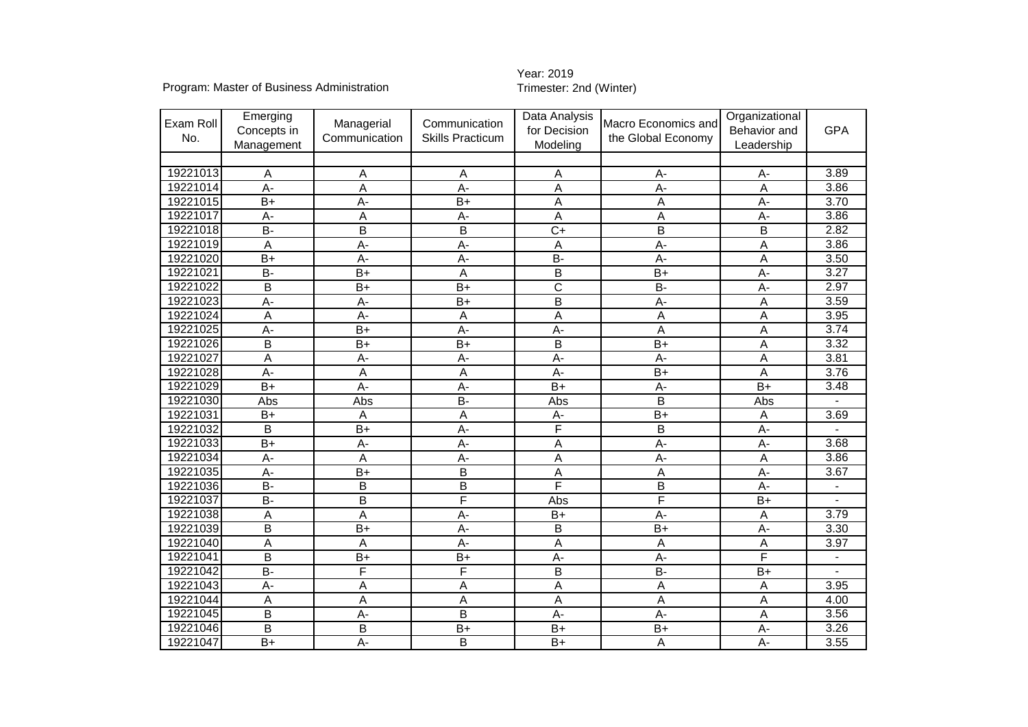Program: Master of Business Administration

## Year: 2019<br>Trimester: 2nd (Winter)

|           | Emerging                |                 |                         | Data Analysis   |                         | Organizational |                |
|-----------|-------------------------|-----------------|-------------------------|-----------------|-------------------------|----------------|----------------|
| Exam Roll | Concepts in             | Managerial      | Communication           | for Decision    | Macro Economics and     | Behavior and   | <b>GPA</b>     |
| No.       | Management              | Communication   | <b>Skills Practicum</b> | Modeling        | the Global Economy      | Leadership     |                |
|           |                         |                 |                         |                 |                         |                |                |
| 19221013  | A                       | А               | Α                       | Α               | $A -$                   | $A -$          | 3.89           |
| 19221014  | A-                      | A               | A-                      | A               | A-                      | A              | 3.86           |
| 19221015  | $\overline{B+}$         | $A -$           | $\overline{B+}$         | A               | A                       | $\overline{A}$ | 3.70           |
| 19221017  | A-                      | A               | A-                      | A               | Α                       | $A -$          | 3.86           |
| 19221018  | $\overline{B}$          | B               | B                       | $\overline{C+}$ | B                       | $\overline{B}$ | 2.82           |
| 19221019  | A                       | $A -$           | $A -$                   | A               | $A -$                   | A              | 3.86           |
| 19221020  | $B+$                    | $A -$           | $A -$                   | <b>B-</b>       | $A -$                   | A              | 3.50           |
| 19221021  | <b>B-</b>               | $B+$            | A                       | B               | $B+$                    | A-             | 3.27           |
| 19221022  | B                       | $B+$            | $B+$                    | C               | <b>B-</b>               | $A -$          | 2.97           |
| 19221023  | $A -$                   | $\overline{A}$  | $\overline{B+}$         | B               | $\overline{A}$          | A              | 3.59           |
| 19221024  | A                       | $\overline{A}$  | Α                       | A               | A                       | A              | 3.95           |
| 19221025  | $A -$                   | $B+$            | $A -$                   | A-              | A                       | A              | 3.74           |
| 19221026  | B                       | $B+$            | $\overline{B+}$         | B               | $B+$                    | A              | 3.32           |
| 19221027  | A                       | $A -$           | $A -$                   | $A -$           | $A -$                   | A              | 3.81           |
| 19221028  | $A -$                   | A               | $\overline{A}$          | $\overline{A}$  | $\overline{B+}$         | A              | 3.76           |
| 19221029  | $B+$                    | A-              | $A -$                   | $B+$            | $A -$                   | $B+$           | 3.48           |
| 19221030  | Abs                     | Abs             | B-                      | Abs             | B                       | Abs            |                |
| 19221031  | $B+$                    | Α               | A                       | А-              | $B+$                    | A              | 3.69           |
| 19221032  | В                       | $B+$            | $A -$                   | F               | B                       | $A -$          |                |
| 19221033  | $\overline{B}$ +        | A-              | $\overline{A}$          | A               | $A -$                   | $\overline{A}$ | 3.68           |
| 19221034  | А-                      | Α               | $A -$                   | A               | $A -$                   | A              | 3.86           |
| 19221035  | A-                      | $B+$            | B                       | A               | Α                       | A-             | 3.67           |
| 19221036  | $B -$                   | B               | B                       | F               | B                       | A-             | $\overline{a}$ |
| 19221037  | <b>B-</b>               | $\sf{B}$        | F                       | Abs             | F                       | $B+$           |                |
| 19221038  | A                       | A               | A-                      | $B+$            | A-                      | $\overline{A}$ | 3.79           |
| 19221039  | B                       | $\overline{B+}$ | A-                      | B               | $\overline{B+}$         | $\overline{A}$ | 3.30           |
| 19221040  | Α                       | A               | A-                      | A               | Α                       | A              | 3.97           |
| 19221041  | B                       | $\overline{B+}$ | $\overline{B+}$         | $\overline{A}$  | $A -$                   | F              |                |
| 19221042  | $\overline{B}$          | F               | F                       | B               | $\overline{B}$          | $B+$           |                |
| 19221043  | $\overline{A}$          | A               | A                       | $\overline{A}$  | $\overline{\mathsf{A}}$ | A              | 3.95           |
| 19221044  | A                       | A               | A                       | A               | A                       | $\overline{A}$ | 4.00           |
| 19221045  | B                       | $A -$           | B                       | А-              | $A -$                   | A              | 3.56           |
| 19221046  | $\overline{\mathsf{B}}$ | B               | $B+$                    | $\overline{B+}$ | $B+$                    | $\overline{A}$ | 3.26           |
| 19221047  | $B+$                    | A-              | B                       | $B+$            | A                       | $A -$          | 3.55           |